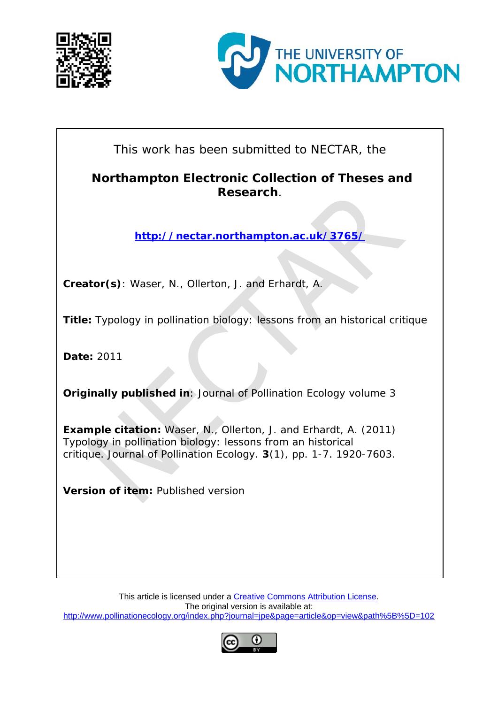



This work has been submitted to NECTAR, the

# **Northampton Electronic Collection of Theses and Research**.

**<http://nectar.northampton.ac.uk/3765/>**

**Creator(s)**: Waser, N., Ollerton, J. and Erhardt, A.

**Title:** Typology in pollination biology: lessons from an historical critique

**Date:** 2011

**Originally published in**: Journal of Pollination Ecology volume 3

**Example citation:** Waser, N., Ollerton, J. and Erhardt, A. (2011) Typology in pollination biology: lessons from an historical critique. *Journal of Pollination Ecology.* **3**(1), pp. 1-7. 1920-7603.

**Version of item: Published version** 

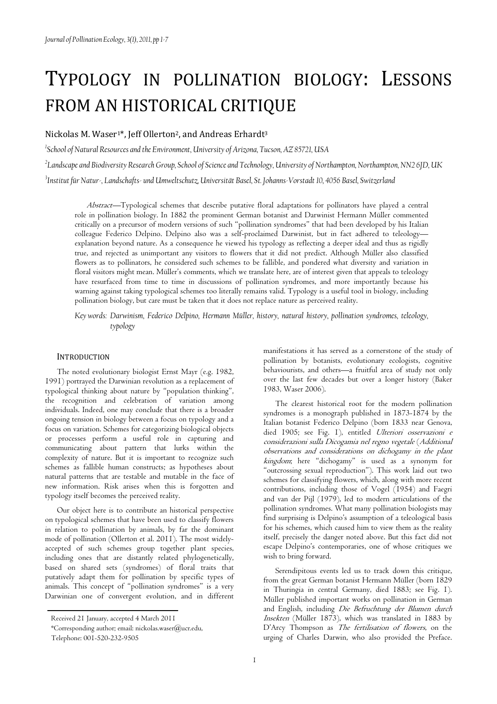# TYPOLOGY IN POLLINATION BIOLOGY: LESSONS FROM AN HISTORICAL CRITIQUE

# Nickolas M. Waser<sup>1\*</sup>, Jeff Ollerton<sup>2</sup>, and Andreas Erhardt<sup>3</sup>

*1 School of Natural Resources and the Environment, University of Arizona, Tucson, AZ 85721, USA* 

*2 Landscape and Biodiversity Research Group, School of Science and Technology, University of Northampton, Northampton, NN2 6JD, UK* 

*3 Institut für Natur-, Landschafts- und Umweltschutz, Universität Basel, St. Johanns-Vorstadt 10, 4056 Basel, Switzerland* 

Abstract—Typological schemes that describe putative floral adaptations for pollinators have played a central role in pollination biology. In 1882 the prominent German botanist and Darwinist Hermann Müller commented critically on a precursor of modern versions of such "pollination syndromes" that had been developed by his Italian colleague Federico Delpino. Delpino also was a self-proclaimed Darwinist, but in fact adhered to teleology explanation beyond nature. As a consequence he viewed his typology as reflecting a deeper ideal and thus as rigidly true, and rejected as unimportant any visitors to flowers that it did not predict. Although Müller also classified flowers as to pollinators, he considered such schemes to be fallible, and pondered what diversity and variation in floral visitors might mean. Müller's comments, which we translate here, are of interest given that appeals to teleology have resurfaced from time to time in discussions of pollination syndromes, and more importantly because his warning against taking typological schemes too literally remains valid. Typology is a useful tool in biology, including pollination biology, but care must be taken that it does not replace nature as perceived reality.

*Key words: Darwinism, Federico Delpino, Hermann Müller, history, natural history, pollination syndromes, teleology, typology* 

### **INTRODUCTION**

The noted evolutionary biologist Ernst Mayr (e.g. 1982, 1991) portrayed the Darwinian revolution as a replacement of typological thinking about nature by "population thinking", the recognition and celebration of variation among individuals. Indeed, one may conclude that there is a broader ongoing tension in biology between a focus on typology and a focus on variation. Schemes for categorizing biological objects or processes perform a useful role in capturing and communicating about pattern that lurks within the complexity of nature. But it is important to recognize such schemes as fallible human constructs; as hypotheses about natural patterns that are testable and mutable in the face of new information. Risk arises when this is forgotten and typology itself becomes the perceived reality.

Our object here is to contribute an historical perspective on typological schemes that have been used to classify flowers in relation to pollination by animals, by far the dominant mode of pollination (Ollerton et al. 2011). The most widelyaccepted of such schemes group together plant species, including ones that are distantly related phylogenetically, based on shared sets (syndromes) of floral traits that putatively adapt them for pollination by specific types of animals. This concept of "pollination syndromes" is a very Darwinian one of convergent evolution, and in different

manifestations it has served as a cornerstone of the study of pollination by botanists, evolutionary ecologists, cognitive behaviourists, and others—a fruitful area of study not only over the last few decades but over a longer history (Baker 1983, Waser 2006).

The clearest historical root for the modern pollination syndromes is a monograph published in 1873-1874 by the Italian botanist Federico Delpino (born 1833 near Genova, died 1905; see Fig. 1), entitled Ulteriori osservazioni e considerazioni sulla Dicogamia nel regno vegetale (Additional observations and considerations on dichogamy in the plant kingdom; here "dichogamy" is used as a synonym for "outcrossing sexual reproduction"). This work laid out two schemes for classifying flowers, which, along with more recent contributions, including those of Vogel (1954) and Faegri and van der Pijl (1979), led to modern articulations of the pollination syndromes. What many pollination biologists may find surprising is Delpino's assumption of a teleological basis for his schemes, which caused him to view them as the reality itself, precisely the danger noted above. But this fact did not escape Delpino's contemporaries, one of whose critiques we wish to bring forward.

Serendipitous events led us to track down this critique, from the great German botanist Hermann Müller (born 1829 in Thuringia in central Germany, died 1883; see Fig. 1). Müller published important works on pollination in German and English, including Die Befruchtung der Blumen durch Insekten (Müller 1873), which was translated in 1883 by D'Arcy Thompson as *The fertilisation of flowers*, on the urging of Charles Darwin, who also provided the Preface.

Received 21 January, accepted 4 March 2011

<sup>\*</sup>Corresponding author; email: nickolas.waser@ucr.edu,

Telephone: 001-520-232-9505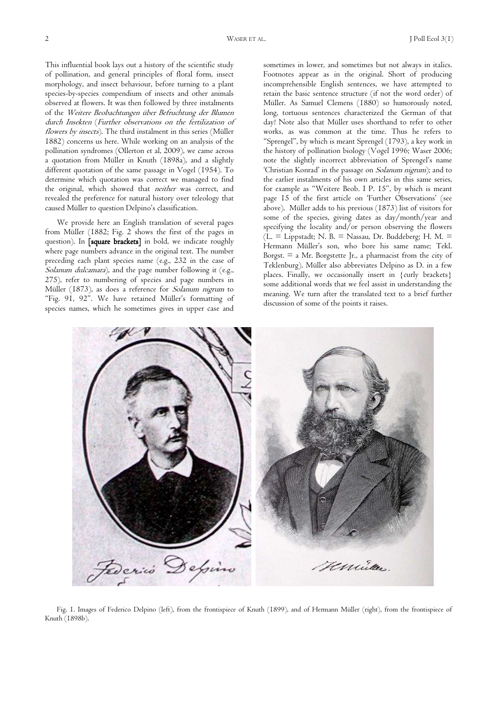This influential book lays out a history of the scientific study of pollination, and general principles of floral form, insect morphology, and insect behaviour, before turning to a plant species-by-species compendium of insects and other animals observed at flowers. It was then followed by three instalments of the Weitere Beobachtungen über Befruchtung der Blumen durch Insekten (Further observations on the fertilization of flowers by insects). The third instalment in this series (Müller 1882) concerns us here. While working on an analysis of the pollination syndromes (Ollerton et al, 2009), we came across a quotation from Müller in Knuth (1898a), and a slightly different quotation of the same passage in Vogel (1954). To determine which quotation was correct we managed to find the original, which showed that *neither* was correct, and revealed the preference for natural history over teleology that caused Müller to question Delpino's classification.

We provide here an English translation of several pages from Müller (1882; Fig. 2 shows the first of the pages in question). In [square brackets] in bold, we indicate roughly where page numbers advance in the original text. The number preceding each plant species name (e.g., 232 in the case of Solanum dulcamara), and the page number following it (e.g., 275), refer to numbering of species and page numbers in Müller (1873), as does a reference for Solanum nigrum to "Fig. 91, 92". We have retained Müller's formatting of species names, which he sometimes gives in upper case and

sometimes in lower, and sometimes but not always in italics. Footnotes appear as in the original. Short of producing incomprehensible English sentences, we have attempted to retain the basic sentence structure (if not the word order) of Müller. As Samuel Clemens (1880) so humorously noted, long, tortuous sentences characterized the German of that day! Note also that Müller uses shorthand to refer to other works, as was common at the time. Thus he refers to "Sprengel", by which is meant Sprengel (1793), a key work in the history of pollination biology (Vogel 1996; Waser 2006; note the slightly incorrect abbreviation of Sprengel's name 'Christian Konrad' in the passage on Solanum nigrum); and to the earlier instalments of his own articles in this same series, for example as "Weitere Beob. I P. 15", by which is meant page 15 of the first article on 'Further Observations' (see above). Müller adds to his previous (1873) list of visitors for some of the species, giving dates as day/month/year and specifying the locality and/or person observing the flowers  $(L = Lippstadt; N. B. = Nassau, Dr. Buddhaberg; H. M. =$ Hermann Müller's son, who bore his same name; Tekl. Borgst.  $=$  a Mr. Borgstette Jr., a pharmacist from the city of Teklenburg). Müller also abbreviates Delpino as D. in a few places. Finally, we occasionally insert in {curly brackets} some additional words that we feel assist in understanding the meaning. We turn after the translated text to a brief further discussion of some of the points it raises.



Fig. 1. Images of Federico Delpino (left), from the frontispiece of Knuth (1899), and of Hermann Müller (right), from the frontispiece of Knuth (1898b).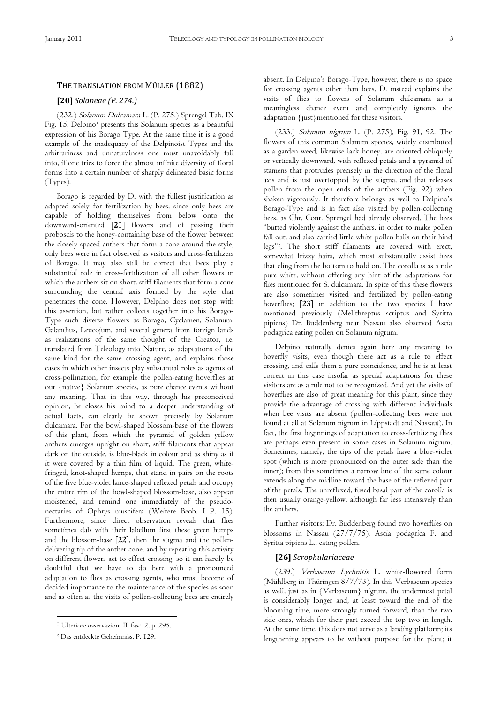# THE TRANSLATION FROM MÜLLER (1882)

# **[20]** *Solaneae (P. 274.)*

(232.) Solanum Dulcamara L. (P. 275.) Sprengel Tab. IX Fig. 15. Delpino<sup>1</sup> presents this Solanum species as a beautiful expression of his Borago Type. At the same time it is a good example of the inadequacy of the Delpinoist Types and the arbitrariness and unnaturalness one must unavoidably fall into, if one tries to force the almost infinite diversity of floral forms into a certain number of sharply delineated basic forms (Types).

Borago is regarded by D. with the fullest justification as adapted solely for fertilization by bees, since only bees are capable of holding themselves from below onto the downward-oriented [21] flowers and of passing their proboscis to the honey-containing base of the flower between the closely-spaced anthers that form a cone around the style; only bees were in fact observed as visitors and cross-fertilizers of Borago. It may also still be correct that bees play a substantial role in cross-fertilization of all other flowers in which the anthers sit on short, stiff filaments that form a cone surrounding the central axis formed by the style that penetrates the cone. However, Delpino does not stop with this assertion, but rather collects together into his Borago-Type such diverse flowers as Borago, Cyclamen, Solanum, Galanthus, Leucojum, and several genera from foreign lands as realizations of the same thought of the Creator, i.e. translated from Teleology into Nature, as adaptations of the same kind for the same crossing agent, and explains those cases in which other insects play substantial roles as agents of cross-pollination, for example the pollen-eating hoverflies at our {native} Solanum species, as pure chance events without any meaning. That in this way, through his preconceived opinion, he closes his mind to a deeper understanding of actual facts, can clearly be shown precisely by Solanum dulcamara. For the bowl-shaped blossom-base of the flowers of this plant, from which the pyramid of golden yellow anthers emerges upright on short, stiff filaments that appear dark on the outside, is blue-black in colour and as shiny as if it were covered by a thin film of liquid. The green, whitefringed, knot-shaped humps, that stand in pairs on the roots of the five blue-violet lance-shaped reflexed petals and occupy the entire rim of the bowl-shaped blossom-base, also appear moistened, and remind one immediately of the pseudonectaries of Ophrys muscifera (Weitere Beob. I P. 15). Furthermore, since direct observation reveals that flies sometimes dab with their labellum first these green humps and the blossom-base [22], then the stigma and the pollendelivering tip of the anther cone, and by repeating this activity on different flowers act to effect crossing, so it can hardly be doubtful that we have to do here with a pronounced adaptation to flies as crossing agents, who must become of decided importance to the maintenance of the species as soon and as often as the visits of pollen-collecting bees are entirely

 $\overline{a}$ 

absent. In Delpino's Borago-Type, however, there is no space for crossing agents other than bees. D. instead explains the visits of flies to flowers of Solanum dulcamara as a meaningless chance event and completely ignores the adaptation {just}mentioned for these visitors.

(233.) Solanum nigrum L. (P. 275), Fig. 91, 92. The flowers of this common Solanum species, widely distributed as a garden weed, likewise lack honey, are oriented obliquely or vertically downward, with reflexed petals and a pyramid of stamens that protrudes precisely in the direction of the floral axis and is just overtopped by the stigma, and that releases pollen from the open ends of the anthers (Fig. 92) when shaken vigorously. It therefore belongs as well to Delpino's Borago-Type and is in fact also visited by pollen-collecting bees, as Chr. Conr. Sprengel had already observed. The bees "butted violently against the anthers, in order to make pollen fall out, and also carried little white pollen balls on their hind legs"<sup>2</sup> . The short stiff filaments are covered with erect, somewhat frizzy hairs, which must substantially assist bees that cling from the bottom to hold on. The corolla is as a rule pure white, without offering any hint of the adaptations for flies mentioned for S. dulcamara. In spite of this these flowers are also sometimes visited and fertilized by pollen-eating hoverflies; [23] in addition to the two species I have mentioned previously (Melithreptus scriptus and Syritta pipiens) Dr. Buddenberg near Nassau also observed Ascia podagrica eating pollen on Solanum nigrum.

Delpino naturally denies again here any meaning to hoverfly visits, even though these act as a rule to effect crossing, and calls them a pure coincidence, and he is at least correct in this case insofar as special adaptations for these visitors are as a rule not to be recognized. And yet the visits of hoverflies are also of great meaning for this plant, since they provide the advantage of crossing with different individuals when bee visits are absent (pollen-collecting bees were not found at all at Solanum nigrum in Lippstadt and Nassau!). In fact, the first beginnings of adaptation to cross-fertilizing flies are perhaps even present in some cases in Solanum nigrum. Sometimes, namely, the tips of the petals have a blue-violet spot (which is more pronounced on the outer side than the inner); from this sometimes a narrow line of the same colour extends along the midline toward the base of the reflexed part of the petals. The unreflexed, fused basal part of the corolla is then usually orange-yellow, although far less intensively than the anthers.

Further visitors: Dr. Buddenberg found two hoverflies on blossoms in Nassau (27/7/75), Ascia podagrica F. and Syritta pipiens L., eating pollen.

#### **[26]** *Scrophulariaceae*

(239.) Verbascum Lychnitis L. white-flowered form (Mühlberg in Thüringen 8/7/73). In this Verbascum species as well, just as in {Verbascum} nigrum, the undermost petal is considerably longer and, at least toward the end of the blooming time, more strongly turned forward, than the two side ones, which for their part exceed the top two in length. At the same time, this does not serve as a landing platform; its lengthening appears to be without purpose for the plant; it

<sup>&</sup>lt;sup>1</sup> Ulteriore osservazioni II, fasc. 2, p. 295.

<sup>2</sup> Das entdeckte Geheimniss, P. 129.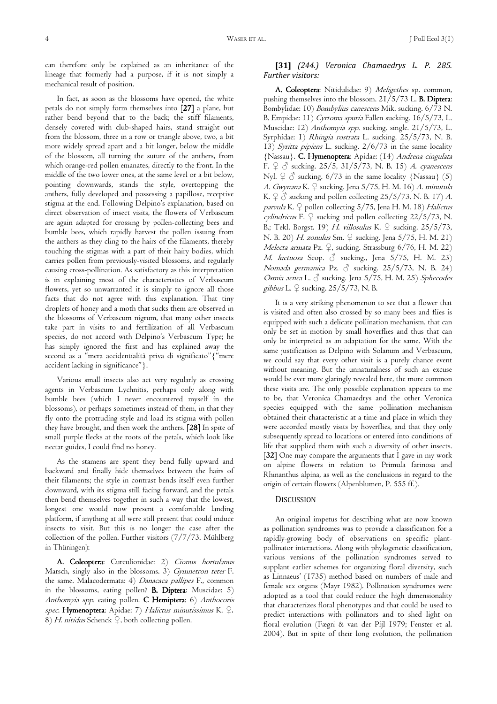can therefore only be explained as an inheritance of the lineage that formerly had a purpose, if it is not simply a mechanical result of position.

In fact, as soon as the blossoms have opened, the white petals do not simply form themselves into [27] a plane, but rather bend beyond that to the back; the stiff filaments, densely covered with club-shaped hairs, stand straight out from the blossom, three in a row or triangle above, two, a bit more widely spread apart and a bit longer, below the middle of the blossom, all turning the suture of the anthers, from which orange-red pollen emanates, directly to the front. In the middle of the two lower ones, at the same level or a bit below, pointing downwards, stands the style, overtopping the anthers, fully developed and possessing a papillose, receptive stigma at the end. Following Delpino's explanation, based on direct observation of insect visits, the flowers of Verbascum are again adapted for crossing by pollen-collecting bees and bumble bees, which rapidly harvest the pollen issuing from the anthers as they cling to the hairs of the filaments, thereby touching the stigmas with a part of their hairy bodies, which carries pollen from previously-visited blossoms, and regularly causing cross-pollination. As satisfactory as this interpretation is in explaining most of the characteristics of Verbascum flowers, yet so unwarranted it is simply to ignore all those facts that do not agree with this explanation. That tiny droplets of honey and a moth that sucks them are observed in the blossoms of Verbascum nigrum, that many other insects take part in visits to and fertilization of all Verbascum species, do not accord with Delpino's Verbascum Type; he has simply ignored the first and has explained away the second as a "mera accidentialità priva di significato"{"mere accident lacking in significance"}.

Various small insects also act very regularly as crossing agents in Verbascum Lychnitis, perhaps only along with bumble bees (which I never encountered myself in the blossoms), or perhaps sometimes instead of them, in that they fly onto the protruding style and load its stigma with pollen they have brought, and then work the anthers. [28] In spite of small purple flecks at the roots of the petals, which look like nectar guides, I could find no honey.

As the stamens are spent they bend fully upward and backward and finally hide themselves between the hairs of their filaments; the style in contrast bends itself even further downward, with its stigma still facing forward, and the petals then bend themselves together in such a way that the lowest, longest one would now present a comfortable landing platform, if anything at all were still present that could induce insects to visit. But this is no longer the case after the collection of the pollen. Further visitors (7/7/73. Mühlberg in Thüringen):

A. Coleoptera: Curculionidae: 2) Cionus hortulanus Marsch, singly also in the blossoms. 3) Gymnetron teter F. the same. Malacodermata: 4) Danacaca pallipes F., common in the blossoms, eating pollen? **B. Diptera**: Muscidae:  $5$ ) Anthomyia spp. eating pollen. C Hemiptera: 6) Anthocoris spec. Hymenoptera: Apidae: 7) Halictus minutissimus K. ♀. 8) H. nitidus Schenck  $\mathcal{Q}$ , both collecting pollen.

# **[31]** *(244.) Veronica Chamaedrys L. P. 285. Further visitors:*

A. Coleoptera: Nitidulidae: 9) Meligethes sp. common, pushing themselves into the blossom.  $21/5/73$  L. **B. Diptera:** Bombylidae: 10) Bombylius canescens Mik. sucking. 6/73 N. B. Empidae: 11) Cyrtoma spuria Fallen sucking. 16/5/73, L. Muscidae: 12) Anthomyia spp. sucking. single. 21/5/73, L. Syrphidae: 1) Rhingia rostrata L. sucking. 25/5/73, N. B. 13) Syritta pipiens L. sucking. 2/6/73 in the same locality {Nassau}. C. Hymenoptera: Apidae: (14) Andrena cingulata F.  $\varphi$   $\varphi$  sucking. 25/5, 31/5/73, N. B. 15) *A. cyanescens* Nyl.  $\varphi$   $\varphi$  sucking. 6/73 in the same locality {Nassau} (5) A. Gwynana K. ♀ sucking. Jena 5/75, H. M. 16) A. minutula K.  $9 \text{ } \textcircled{}$  sucking and pollen collecting 25/5/73. N. B. 17) A. parvula K. ♀ pollen collecting 5/75, Jena H. M. 18) Halictus cylindricus F.  $\varphi$  sucking and pollen collecting 22/5/73, N. B.; Tekl. Borgst. 19) H. villosulus K.  $\frac{1}{7}$  sucking. 25/5/73, N. B. 20) *H. zonulus* Sm. ♀ sucking. Jena 5/75, H. M. 21) Melecta armata Pz. ♀, sucking. Strassburg 6/76, H. M. 22) M. luctuosa Scop.  $\delta$  sucking., Jena 5/75, H. M. 23) Nomada germanica Pz.  $\delta$  sucking. 25/5/73, N. B. 24) Osmia aenea L.  $\circlearrowleft$  sucking. Jena 5/75, H. M. 25) Sphecodes gibbus L.  $\varphi$  sucking. 25/5/73, N. B.

It is a very striking phenomenon to see that a flower that is visited and often also crossed by so many bees and flies is equipped with such a delicate pollination mechanism, that can only be set in motion by small hoverflies and thus that can only be interpreted as an adaptation for the same. With the same justification as Delpino with Solanum and Verbascum, we could say that every other visit is a purely chance event without meaning. But the unnaturalness of such an excuse would be ever more glaringly revealed here, the more common these visits are. The only possible explanation appears to me to be, that Veronica Chamaedrys and the other Veronica species equipped with the same pollination mechanism obtained their characteristic at a time and place in which they were accorded mostly visits by hoverflies, and that they only subsequently spread to locations or entered into conditions of life that supplied them with such a diversity of other insects. [32] One may compare the arguments that  $I$  gave in my work on alpine flowers in relation to Primula farinosa and Rhinanthus alpina, as well as the conclusions in regard to the origin of certain flowers (Alpenblumen, P. 555 ff.).

# **DISCUSSION**

An original impetus for describing what are now known as pollination syndromes was to provide a classification for a rapidly-growing body of observations on specific plantpollinator interactions. Along with phylogenetic classification, various versions of the pollination syndromes served to supplant earlier schemes for organizing floral diversity, such as Linnaeus' (1735) method based on numbers of male and female sex organs (Mayr 1982). Pollination syndromes were adopted as a tool that could reduce the high dimensionality that characterizes floral phenotypes and that could be used to predict interactions with pollinators and to shed light on floral evolution (Fægri & van der Pijl 1979; Fenster et al. 2004). But in spite of their long evolution, the pollination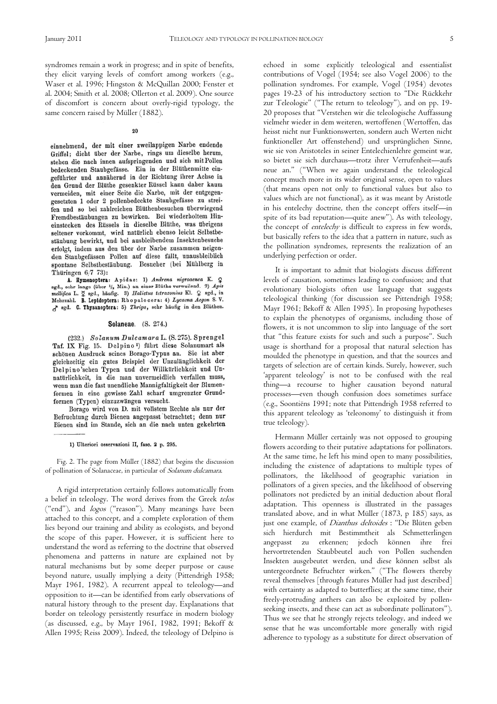syndromes remain a work in progress; and in spite of benefits, they elicit varying levels of comfort among workers (e.g., Waser et al. 1996; Hingston & McQuillan 2000; Fenster et al. 2004; Smith et al. 2008; Ollerton et al. 2009). One source of discomfort is concern about overly-rigid typology, the same concern raised by Müller (1882).

#### $20$

einnehmend, der mit einer zweilappigen Narbe endende Griffel; dicht über der Narbe, rings um dieselbe herum, stehen die nach innen aufspringenden und sich mit Pollen bedeckenden Staubgefässe. Ein in der Blüthenmitte eingeführter und annähernd in der Richtung ihrer Achse in den Grund der Blüthe gesenkter Rüssel kann daher kaum vermeiden, mit einer Seite die Narbe, mit der entgegengesetzten 1 oder 2 pollenbedeckte Staubgefässe zu streifen und so bei zahlreichen Blüthenbesuchen überwiegend Fremdbestäubungen zu bewirken. Bei wiederholtem Hineinstecken des Rüssels in dieselbe Blüthe, was übrigens seltener vorkommt, wird natürlich ebenso leicht Selbstbestäubung bewirkt, und bei ausbleibendem Insektenbesuche erfolgt, indem aus den über der Narbe zusammen neigenden Stanbgefässen Pollen auf diese fällt, unausbleiblich spontane Selbstbestäubung. Besucher (bei Mühlberg in Thüringen 6/7 73):

A. Hymenoptera: Apidae: 1) Andrena nigroaenea K. Q<br>sgd., sehr lange (über <sup>1</sup>/<sub>2</sub> Min.) an einer Blüthe verweilend. 2) Apis mellifica L. I sed., häufig. 3) Halictus tetrazonius Kl. 2 sgd., in<br>Mehrzahl. B. Lepidoptera: Rhopalocera: 4) Lycaena Aegon S. V. sed. C. Thysanoptera: 5) Thrips, sehr häufig in den Blüthen.

#### Solaneae. (S. 274.)

(232.) Solanum Dulcamara L. (S. 275). Sprengel Taf. IX Fig. 15. Delpino<sup>1</sup>) führt diese Solanumart als schönen Ausdruck seines Borago-Typus an. Sie ist aber gleichzeitig ein gutes Beispiel der Unzulänglichkeit der Delpino'schen Typen und der Willkürlichkeit und Unnatürlichkeit, in die man unvermeidlich verfallen muss, wenn man die fast unendliche Mannigfaltigkeit der Blumenformen in eine gewisse Zahl scharf umgrenzter Grundformen (Typen) einzuzwängen versucht.

Borago wird von D. mit vollstem Rechte als nur der Befruchtung durch Bienen angepasst betrachtet; denn nur Bienen sind im Stande, sich an die nach unten gekehrten

1) Ulteriori osservazioni II, fasc. 2 p. 295.

Fig. 2. The page from Müller (1882) that begins the discussion of pollination of Solanaceae, in particular of Solanum dulcamara.

A rigid interpretation certainly follows automatically from a belief in teleology. The word derives from the Greek telos ("end"), and logos ("reason"). Many meanings have been attached to this concept, and a complete exploration of them lies beyond our training and ability as ecologists, and beyond the scope of this paper. However, it is sufficient here to understand the word as referring to the doctrine that observed phenomena and patterns in nature are explained not by natural mechanisms but by some deeper purpose or cause beyond nature, usually implying a deity (Pittendrigh 1958; Mayr 1961, 1982). A recurrent appeal to teleology—and opposition to it—can be identified from early observations of natural history through to the present day. Explanations that border on teleology persistently resurface in modern biology (as discussed, e.g., by Mayr 1961, 1982, 1991; Bekoff & Allen 1995; Reiss 2009). Indeed, the teleology of Delpino is

echoed in some explicitly teleological and essentialist contributions of Vogel (1954; see also Vogel 2006) to the pollination syndromes. For example, Vogel (1954) devotes pages 19-23 of his introductory section to "Die Rückkehr zur Teleologie" ("The return to teleology"), and on pp. 19- 20 proposes that "Verstehen wir die teleologische Auffassung vielmehr wieder in dem weiteren, wertoffenen (Wertoffen, das heisst nicht nur Funktionswerten, sondern auch Werten nicht funktioneller Art offenstehend) und ursprünglichen Sinne, wie sie von Aristoteles in seiner Entelechienlehre gemeint war, so bietet sie sich durchaus—trotz ihrer Verrufenheit—aufs neue an." ("When we again understand the teleological concept much more in its wider original sense, open to values (that means open not only to functional values but also to values which are not functional), as it was meant by Aristotle in his entelechy doctrine, then the concept offers itself—in spite of its bad reputation—quite anew"). As with teleology, the concept of entelechy is difficult to express in few words, but basically refers to the idea that a pattern in nature, such as the pollination syndromes, represents the realization of an underlying perfection or order.

It is important to admit that biologists discuss different levels of causation, sometimes leading to confusion; and that evolutionary biologists often use language that suggests teleological thinking (for discussion see Pittendrigh 1958; Mayr 1961; Bekoff & Allen 1995). In proposing hypotheses to explain the phenotypes of organisms, including those of flowers, it is not uncommon to slip into language of the sort that "this feature exists for such and such a purpose". Such usage is shorthand for a proposal that natural selection has moulded the phenotype in question, and that the sources and targets of selection are of certain kinds. Surely, however, such 'apparent teleology' is not to be confused with the real thing—a recourse to higher causation beyond natural processes—even though confusion does sometimes surface (e.g., Soontiëns 1991; note that Pittendrigh 1958 referred to this apparent teleology as 'teleonomy' to distinguish it from true teleology).

Hermann Müller certainly was not opposed to grouping flowers according to their putative adaptations for pollinators. At the same time, he left his mind open to many possibilities, including the existence of adaptations to multiple types of pollinators, the likelihood of geographic variation in pollinators of a given species, and the likelihood of observing pollinators not predicted by an initial deduction about floral adaptation. This openness is illustrated in the passages translated above, and in what Müller (1873, p 185) says, as just one example, of Dianthus deltoides : "Die Blüten geben sich hierdurch mit Bestimmtheit als Schmetterlingen angepasst zu erkennen; jedoch können ihre frei hervortretenden Staubbeutel auch von Pollen suchenden Insekten ausgebeutet werden, und diese können selbst als untergeordnete Befruchter wirken." ("The flowers thereby reveal themselves [through features Müller had just described] with certainty as adapted to butterflies; at the same time, their freely-protruding anthers can also be exploited by pollenseeking insects, and these can act as subordinate pollinators"). Thus we see that he strongly rejects teleology, and indeed we sense that he was uncomfortable more generally with rigid adherence to typology as a substitute for direct observation of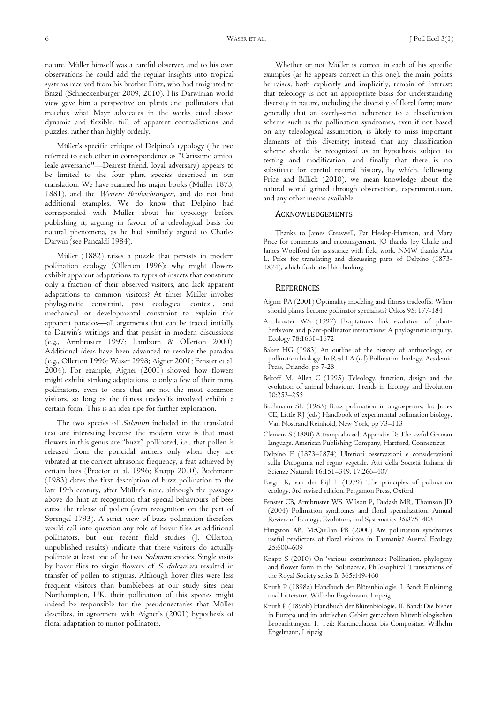nature. Müller himself was a careful observer, and to his own observations he could add the regular insights into tropical systems received from his brother Fritz, who had emigrated to Brazil (Schneckenburger 2009, 2010). His Darwinian world view gave him a perspective on plants and pollinators that matches what Mayr advocates in the works cited above: dynamic and flexible, full of apparent contradictions and puzzles, rather than highly orderly.

Müller's specific critique of Delpino's typology (the two referred to each other in correspondence as "Carissimo amico, leale avversario"—Dearest friend, loyal adversary) appears to be limited to the four plant species described in our translation. We have scanned his major books (Müller 1873, 1881), and the Weitere Beobachtungen, and do not find additional examples. We do know that Delpino had corresponded with Müller about his typology before publishing it, arguing in favour of a teleological basis for natural phenomena, as he had similarly argued to Charles Darwin (see Pancaldi 1984).

Müller (1882) raises a puzzle that persists in modern pollination ecology (Ollerton 1996): why might flowers exhibit apparent adaptations to types of insects that constitute only a fraction of their observed visitors, and lack apparent adaptations to common visitors? At times Müller invokes phylogenetic constraint, past ecological context, and mechanical or developmental constraint to explain this apparent paradox—all arguments that can be traced initially to Darwin's writings and that persist in modern discussions (e.g., Armbruster 1997; Lamborn & Ollerton 2000). Additional ideas have been advanced to resolve the paradox (e.g., Ollerton 1996; Waser 1998; Aigner 2001; Fenster et al. 2004). For example, Aigner (2001) showed how flowers might exhibit striking adaptations to only a few of their many pollinators, even to ones that are not the most common visitors, so long as the fitness tradeoffs involved exhibit a certain form. This is an idea ripe for further exploration.

The two species of Solanum included in the translated text are interesting because the modern view is that most flowers in this genus are "buzz" pollinated, i.e., that pollen is released from the poricidal anthers only when they are vibrated at the correct ultrasonic frequency, a feat achieved by certain bees (Proctor et al. 1996; Knapp 2010). Buchmann (1983) dates the first description of buzz pollination to the late 19th century, after Müller's time, although the passages above do hint at recognition that special behaviours of bees cause the release of pollen (even recognition on the part of Sprengel 1793). A strict view of buzz pollination therefore would call into question any role of hover flies as additional pollinators, but our recent field studies (J. Ollerton, unpublished results) indicate that these visitors do actually pollinate at least one of the two Solanum species. Single visits by hover flies to virgin flowers of S. dulcamara resulted in transfer of pollen to stigmas. Although hover flies were less frequent visitors than bumblebees at our study sites near Northampton, UK, their pollination of this species might indeed be responsible for the pseudonectaries that Müller describes, in agreement with Aigner's (2001) hypothesis of floral adaptation to minor pollinators.

Whether or not Müller is correct in each of his specific examples (as he appears correct in this one), the main points he raises, both explicitly and implicitly, remain of interest: that teleology is not an appropriate basis for understanding diversity in nature, including the diversity of floral form; more generally that an overly-strict adherence to a classification scheme such as the pollination syndromes, even if not based on any teleological assumption, is likely to miss important elements of this diversity; instead that any classification scheme should be recognized as an hypothesis subject to testing and modification; and finally that there is no substitute for careful natural history, by which, following Price and Billick (2010), we mean knowledge about the natural world gained through observation, experimentation, and any other means available.

## ACKNOWLEDGEMENTS

Thanks to James Cresswell, Pat Heslop-Harrison, and Mary Price for comments and encouragement. JO thanks Joy Clarke and James Woolford for assistance with field work. NMW thanks Alta L. Price for translating and discussing parts of Delpino (1873- 1874), which facilitated his thinking.

#### **REFERENCES**

- Aigner PA (2001) Optimality modeling and fitness tradeoffs: When should plants become pollinator specialists? Oikos 95: 177-184
- Armbruster WS (1997) Exaptations link evolution of plantherbivore and plant-pollinator interactions: A phylogenetic inquiry. Ecology 78:1661–1672
- Baker HG (1983) An outline of the history of anthecology, or pollination biology. In Real LA (ed) Pollination biology. Academic Press, Orlando, pp 7-28
- Bekoff M, Allen C (1995) Teleology, function, design and the evolution of animal behaviour. Trends in Ecology and Evolution 10:253–255
- Buchmann SL (1983) Buzz pollination in angiosperms. In: Jones CE, Little RJ (eds) Handbook of experimental pollination biology. Van Nostrand Reinhold, New York, pp 73–113
- Clemens S (1880) A tramp abroad, Appendix D: The awful German language. American Publishing Company, Hartford, Connecticut
- Delpino F (1873–1874) Ulteriori osservazioni e considerazioni sulla Dicogamia nel regno vegetale. Atti della Società Italiana di Scienze Naturali 16:151–349, 17:266–407
- Faegri K, van der Pijl L (1979) The principles of pollination ecology, 3rd revised edition. Pergamon Press, Oxford
- Fenster CB, Armbruster WS, Wilson P, Dudash MR, Thomson JD (2004) Pollination syndromes and floral specialization. Annual Review of Ecology, Evolution, and Systematics 35:375–403
- Hingston AB, McQuillan PB (2000) Are pollination syndromes useful predictors of floral visitors in Tasmania? Austral Ecology 25:600–609
- Knapp S (2010) On 'various contrivances': Pollination, phylogeny and flower form in the Solanaceae. Philosophical Transactions of the Royal Society series B. 365:449-460
- Knuth P (1898a) Handbuch der Blütenbiologie. I. Band: Einleitung und Litteratur. Wilhelm Engelmann, Leipzig
- Knuth P (1898b) Handbuch der Blütenbiologie. II. Band: Die bisher in Europa und im arktischen Gebiet gemachten blütenbiologischen Beobachtungen. 1. Teil: Ranunculaceae bis Compositae. Wilhelm Engelmann, Leipzig